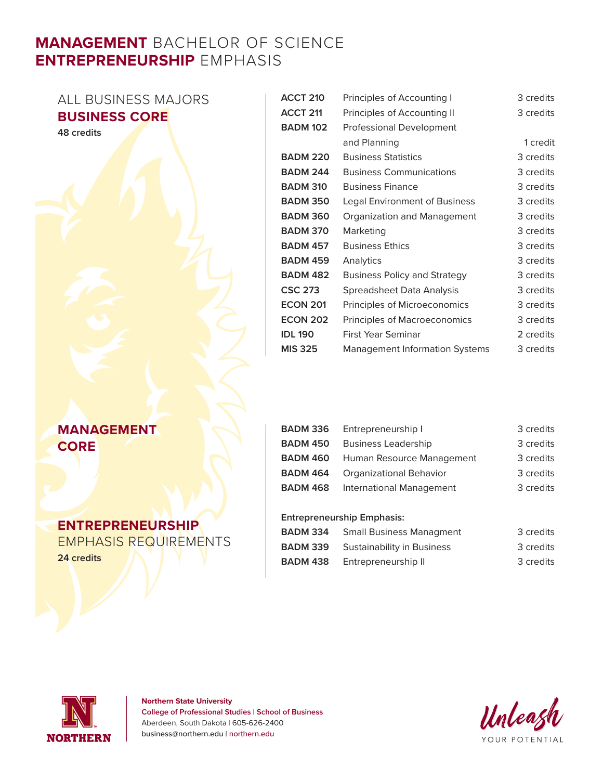# **MANAGEMENT** BACHELOR OF SCIENCE **ENTREPRENEURSHIP** EMPHASIS

| ALL BUSINESS MAJORS  | <b>ACCT 210</b> | Principles of Accounting I            | 3 credits |
|----------------------|-----------------|---------------------------------------|-----------|
| <b>BUSINESS CORE</b> | <b>ACCT 211</b> | Principles of Accounting II           | 3 credits |
| 48 credits           | <b>BADM 102</b> | Professional Development              |           |
|                      |                 | and Planning                          | 1 credit  |
|                      | <b>BADM 220</b> | <b>Business Statistics</b>            | 3 credits |
|                      | <b>BADM 244</b> | <b>Business Communications</b>        | 3 credits |
|                      | <b>BADM 310</b> | <b>Business Finance</b>               | 3 credits |
|                      | <b>BADM 350</b> | <b>Legal Environment of Business</b>  | 3 credits |
|                      | <b>BADM 360</b> | Organization and Management           | 3 credits |
|                      | <b>BADM 370</b> | Marketing                             | 3 credits |
|                      | <b>BADM 457</b> | <b>Business Ethics</b>                | 3 credits |
|                      | <b>BADM 459</b> | Analytics                             | 3 credits |
|                      | <b>BADM 482</b> | <b>Business Policy and Strategy</b>   | 3 credits |
|                      | <b>CSC 273</b>  | <b>Spreadsheet Data Analysis</b>      | 3 credits |
|                      | <b>ECON 201</b> | Principles of Microeconomics          | 3 credits |
|                      | <b>ECON 202</b> | Principles of Macroeconomics          | 3 credits |
|                      | <b>IDL 190</b>  | First Year Seminar                    | 2 credits |
|                      | <b>MIS 325</b>  | <b>Management Information Systems</b> | 3 credits |

## **MANAGEMENT CORE**

### **ENTREPRENEURSHIP**

EMPHASIS REQUIREMENTS **24 credits**

| BADM 336        | Entrepreneurship I                        | 3 credits |
|-----------------|-------------------------------------------|-----------|
| BADM 450        | <b>Business Leadership</b>                | 3 credits |
|                 | <b>BADM 460</b> Human Resource Management | 3 credits |
| <b>BADM 464</b> | Organizational Behavior                   | 3 credits |
| <b>BADM 468</b> | International Management                  | 3 credits |

#### **Entrepreneurship Emphasis:**

| BADM 334 | <b>Small Business Managment</b> | 3 credits |
|----------|---------------------------------|-----------|
| BADM 339 | Sustainability in Business      | 3 credits |
| BADM 438 | Entrepreneurship II             | 3 credits |



**Northern State University College of Professional Studies | School of Business** Aberdeen, South Dakota | 605-626-2400 business@northern.edu | northern.edu